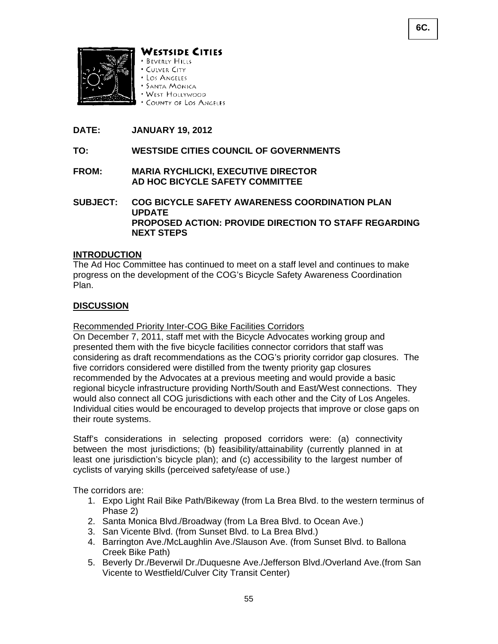



WESTSIDE CITIES

- **BEVERLY HILLS** · CULVER CITY
- · Los Angeles
- **SANTA MONICA**
- WEST HOLLYWOOD
- \* COUNTY OF LOS ANGELES

# **DATE: JANUARY 19, 2012**

## **TO: WESTSIDE CITIES COUNCIL OF GOVERNMENTS**

## **FROM: MARIA RYCHLICKI, EXECUTIVE DIRECTOR AD HOC BICYCLE SAFETY COMMITTEE**

# **SUBJECT: COG BICYCLE SAFETY AWARENESS COORDINATION PLAN UPDATE PROPOSED ACTION: PROVIDE DIRECTION TO STAFF REGARDING NEXT STEPS**

### **INTRODUCTION**

The Ad Hoc Committee has continued to meet on a staff level and continues to make progress on the development of the COG's Bicycle Safety Awareness Coordination Plan.

### **DISCUSSION**

#### Recommended Priority Inter-COG Bike Facilities Corridors

On December 7, 2011, staff met with the Bicycle Advocates working group and presented them with the five bicycle facilities connector corridors that staff was considering as draft recommendations as the COG's priority corridor gap closures. The five corridors considered were distilled from the twenty priority gap closures recommended by the Advocates at a previous meeting and would provide a basic regional bicycle infrastructure providing North/South and East/West connections. They would also connect all COG jurisdictions with each other and the City of Los Angeles. Individual cities would be encouraged to develop projects that improve or close gaps on their route systems.

Staff's considerations in selecting proposed corridors were: (a) connectivity between the most jurisdictions; (b) feasibility/attainability (currently planned in at least one jurisdiction's bicycle plan); and (c) accessibility to the largest number of cyclists of varying skills (perceived safety/ease of use.)

The corridors are:

- 1. Expo Light Rail Bike Path/Bikeway (from La Brea Blvd. to the western terminus of Phase 2)
- 2. Santa Monica Blvd./Broadway (from La Brea Blvd. to Ocean Ave.)
- 3. San Vicente Blvd. (from Sunset Blvd. to La Brea Blvd.)
- 4. Barrington Ave./McLaughlin Ave./Slauson Ave. (from Sunset Blvd. to Ballona Creek Bike Path)
- 5. Beverly Dr./Beverwil Dr./Duquesne Ave./Jefferson Blvd./Overland Ave.(from San Vicente to Westfield/Culver City Transit Center)